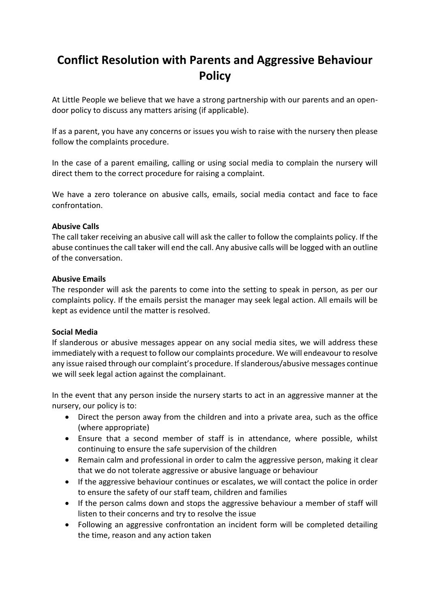## **Conflict Resolution with Parents and Aggressive Behaviour Policy**

At Little People we believe that we have a strong partnership with our parents and an opendoor policy to discuss any matters arising (if applicable).

If as a parent, you have any concerns or issues you wish to raise with the nursery then please follow the complaints procedure.

In the case of a parent emailing, calling or using social media to complain the nursery will direct them to the correct procedure for raising a complaint.

We have a zero tolerance on abusive calls, emails, social media contact and face to face confrontation.

## **Abusive Calls**

The call taker receiving an abusive call will ask the caller to follow the complaints policy. If the abuse continues the call taker will end the call. Any abusive calls will be logged with an outline of the conversation.

## **Abusive Emails**

The responder will ask the parents to come into the setting to speak in person, as per our complaints policy. If the emails persist the manager may seek legal action. All emails will be kept as evidence until the matter is resolved.

## **Social Media**

If slanderous or abusive messages appear on any social media sites, we will address these immediately with a request to follow our complaints procedure. We will endeavour to resolve any issue raised through our complaint's procedure. If slanderous/abusive messages continue we will seek legal action against the complainant.

In the event that any person inside the nursery starts to act in an aggressive manner at the nursery, our policy is to:

- Direct the person away from the children and into a private area, such as the office (where appropriate)
- Ensure that a second member of staff is in attendance, where possible, whilst continuing to ensure the safe supervision of the children
- Remain calm and professional in order to calm the aggressive person, making it clear that we do not tolerate aggressive or abusive language or behaviour
- If the aggressive behaviour continues or escalates, we will contact the police in order to ensure the safety of our staff team, children and families
- If the person calms down and stops the aggressive behaviour a member of staff will listen to their concerns and try to resolve the issue
- Following an aggressive confrontation an incident form will be completed detailing the time, reason and any action taken